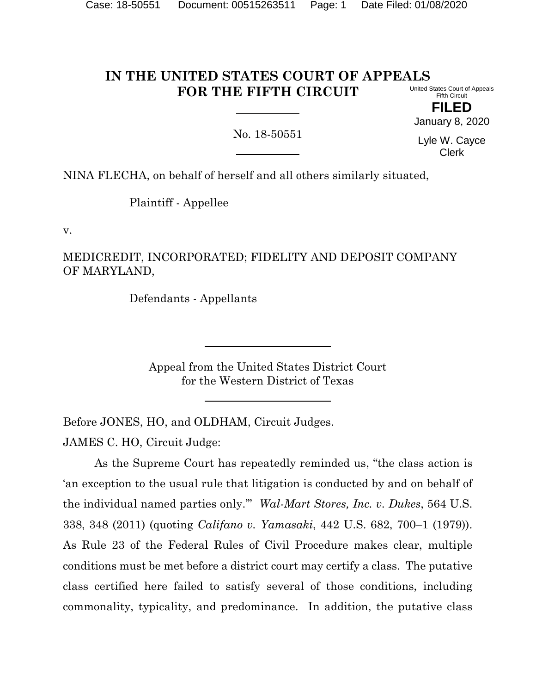#### **IN THE UNITED STATES COURT OF APPEALS FOR THE FIFTH CIRCUIT** United States Court of Appeals

Fifth Circuit **FILED**

January 8, 2020

No. 18-50551

Lyle W. Cayce Clerk

NINA FLECHA, on behalf of herself and all others similarly situated,

Plaintiff - Appellee

v.

MEDICREDIT, INCORPORATED; FIDELITY AND DEPOSIT COMPANY OF MARYLAND,

Defendants - Appellants

Appeal from the United States District Court for the Western District of Texas

Before JONES, HO, and OLDHAM, Circuit Judges.

JAMES C. HO, Circuit Judge:

As the Supreme Court has repeatedly reminded us, "the class action is 'an exception to the usual rule that litigation is conducted by and on behalf of the individual named parties only.'" *Wal-Mart Stores, Inc. v. Dukes*, 564 U.S. 338, 348 (2011) (quoting *Califano v. Yamasaki*, 442 U.S. 682, 700–1 (1979)). As Rule 23 of the Federal Rules of Civil Procedure makes clear, multiple conditions must be met before a district court may certify a class. The putative class certified here failed to satisfy several of those conditions, including commonality, typicality, and predominance. In addition, the putative class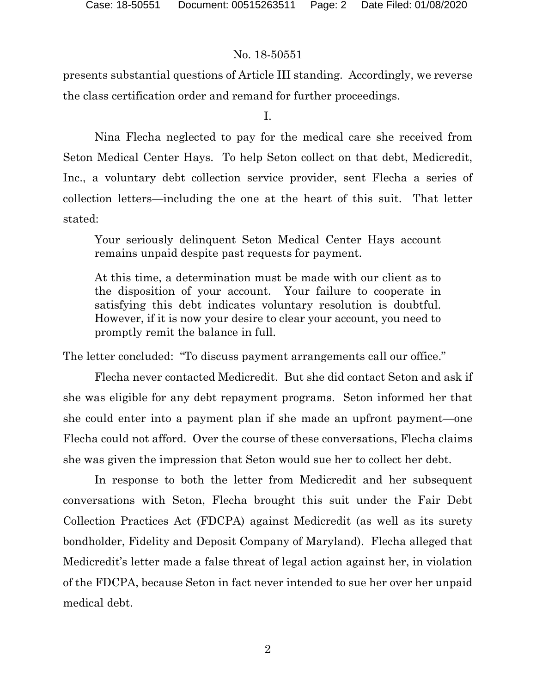presents substantial questions of Article III standing. Accordingly, we reverse the class certification order and remand for further proceedings.

I.

Nina Flecha neglected to pay for the medical care she received from Seton Medical Center Hays. To help Seton collect on that debt, Medicredit, Inc., a voluntary debt collection service provider, sent Flecha a series of collection letters—including the one at the heart of this suit. That letter stated:

Your seriously delinquent Seton Medical Center Hays account remains unpaid despite past requests for payment.

At this time, a determination must be made with our client as to the disposition of your account. Your failure to cooperate in satisfying this debt indicates voluntary resolution is doubtful. However, if it is now your desire to clear your account, you need to promptly remit the balance in full.

The letter concluded: "To discuss payment arrangements call our office."

Flecha never contacted Medicredit. But she did contact Seton and ask if she was eligible for any debt repayment programs. Seton informed her that she could enter into a payment plan if she made an upfront payment—one Flecha could not afford. Over the course of these conversations, Flecha claims she was given the impression that Seton would sue her to collect her debt.

In response to both the letter from Medicredit and her subsequent conversations with Seton, Flecha brought this suit under the Fair Debt Collection Practices Act (FDCPA) against Medicredit (as well as its surety bondholder, Fidelity and Deposit Company of Maryland). Flecha alleged that Medicredit's letter made a false threat of legal action against her, in violation of the FDCPA, because Seton in fact never intended to sue her over her unpaid medical debt.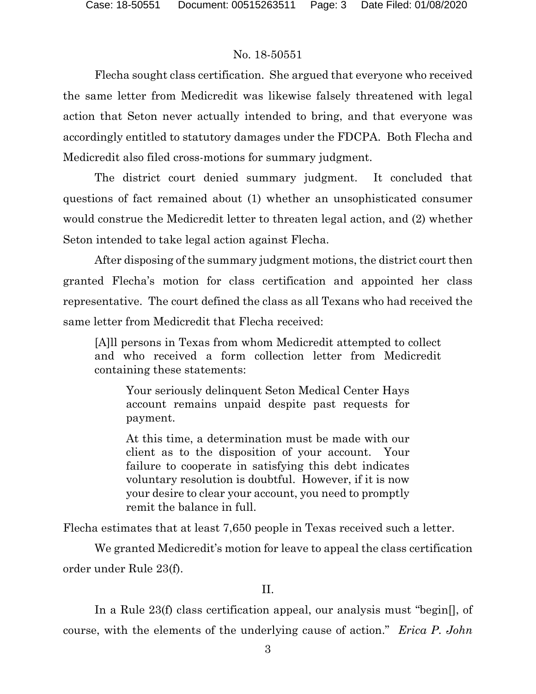Flecha sought class certification. She argued that everyone who received the same letter from Medicredit was likewise falsely threatened with legal action that Seton never actually intended to bring, and that everyone was accordingly entitled to statutory damages under the FDCPA. Both Flecha and Medicredit also filed cross-motions for summary judgment.

The district court denied summary judgment. It concluded that questions of fact remained about (1) whether an unsophisticated consumer would construe the Medicredit letter to threaten legal action, and (2) whether Seton intended to take legal action against Flecha.

After disposing of the summary judgment motions, the district court then granted Flecha's motion for class certification and appointed her class representative. The court defined the class as all Texans who had received the same letter from Medicredit that Flecha received:

[A]ll persons in Texas from whom Medicredit attempted to collect and who received a form collection letter from Medicredit containing these statements:

Your seriously delinquent Seton Medical Center Hays account remains unpaid despite past requests for payment.

At this time, a determination must be made with our client as to the disposition of your account. Your failure to cooperate in satisfying this debt indicates voluntary resolution is doubtful. However, if it is now your desire to clear your account, you need to promptly remit the balance in full.

Flecha estimates that at least 7,650 people in Texas received such a letter.

We granted Medicredit's motion for leave to appeal the class certification order under Rule 23(f).

# II.

In a Rule 23(f) class certification appeal, our analysis must "begin[], of course, with the elements of the underlying cause of action." *Erica P. John*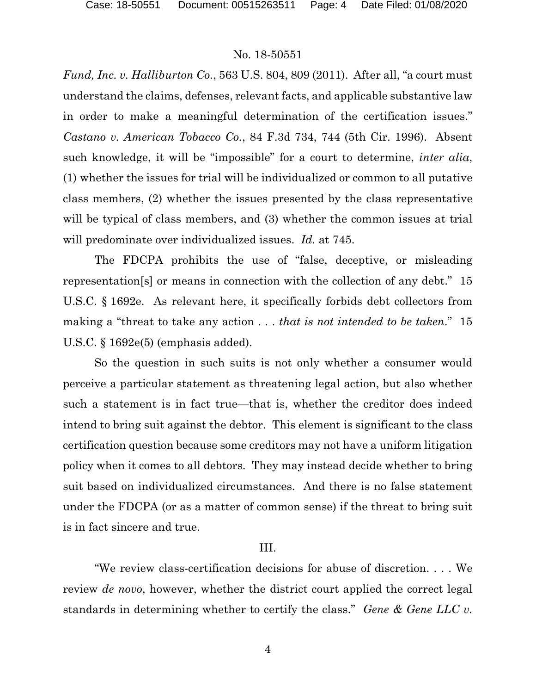*Fund, Inc. v. Halliburton Co.*, 563 U.S. 804, 809 (2011). After all, "a court must understand the claims, defenses, relevant facts, and applicable substantive law in order to make a meaningful determination of the certification issues." *Castano v. American Tobacco Co.*, 84 F.3d 734, 744 (5th Cir. 1996). Absent such knowledge, it will be "impossible" for a court to determine, *inter alia*, (1) whether the issues for trial will be individualized or common to all putative class members, (2) whether the issues presented by the class representative will be typical of class members, and (3) whether the common issues at trial will predominate over individualized issues. *Id.* at 745.

The FDCPA prohibits the use of "false, deceptive, or misleading representation[s] or means in connection with the collection of any debt." 15 U.S.C. § 1692e. As relevant here, it specifically forbids debt collectors from making a "threat to take any action . . . *that is not intended to be taken*." 15 U.S.C. § 1692e(5) (emphasis added).

So the question in such suits is not only whether a consumer would perceive a particular statement as threatening legal action, but also whether such a statement is in fact true—that is, whether the creditor does indeed intend to bring suit against the debtor. This element is significant to the class certification question because some creditors may not have a uniform litigation policy when it comes to all debtors. They may instead decide whether to bring suit based on individualized circumstances. And there is no false statement under the FDCPA (or as a matter of common sense) if the threat to bring suit is in fact sincere and true.

## III.

"We review class-certification decisions for abuse of discretion. . . . We review *de novo*, however, whether the district court applied the correct legal standards in determining whether to certify the class." *Gene & Gene LLC v.*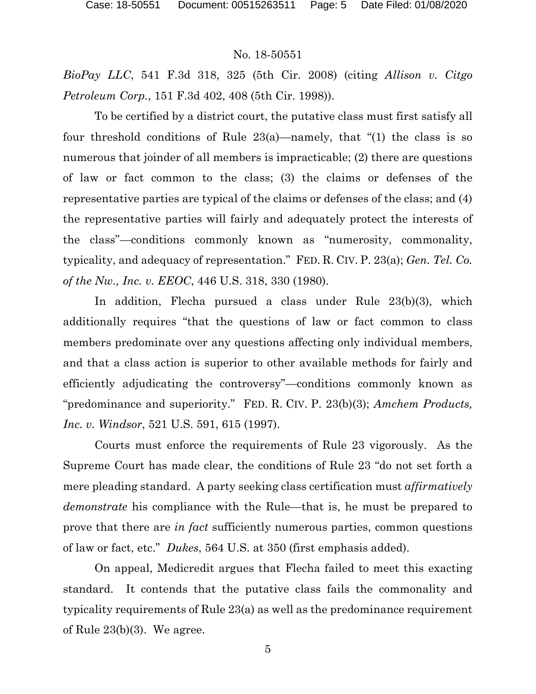*BioPay LLC*, 541 F.3d 318, 325 (5th Cir. 2008) (citing *Allison v. Citgo Petroleum Corp.*, 151 F.3d 402, 408 (5th Cir. 1998)).

To be certified by a district court, the putative class must first satisfy all four threshold conditions of Rule 23(a)—namely, that "(1) the class is so numerous that joinder of all members is impracticable; (2) there are questions of law or fact common to the class; (3) the claims or defenses of the representative parties are typical of the claims or defenses of the class; and (4) the representative parties will fairly and adequately protect the interests of the class"—conditions commonly known as "numerosity, commonality, typicality, and adequacy of representation." FED. R. CIV. P. 23(a); *Gen. Tel. Co. of the Nw., Inc. v. EEOC*, 446 U.S. 318, 330 (1980).

In addition, Flecha pursued a class under Rule 23(b)(3), which additionally requires "that the questions of law or fact common to class members predominate over any questions affecting only individual members, and that a class action is superior to other available methods for fairly and efficiently adjudicating the controversy"—conditions commonly known as "predominance and superiority." FED. R. CIV. P. 23(b)(3); *Amchem Products, Inc. v. Windsor*, 521 U.S. 591, 615 (1997).

Courts must enforce the requirements of Rule 23 vigorously. As the Supreme Court has made clear, the conditions of Rule 23 "do not set forth a mere pleading standard. A party seeking class certification must *affirmatively demonstrate* his compliance with the Rule—that is, he must be prepared to prove that there are *in fact* sufficiently numerous parties, common questions of law or fact, etc." *Dukes*, 564 U.S. at 350 (first emphasis added).

On appeal, Medicredit argues that Flecha failed to meet this exacting standard. It contends that the putative class fails the commonality and typicality requirements of Rule 23(a) as well as the predominance requirement of Rule 23(b)(3). We agree.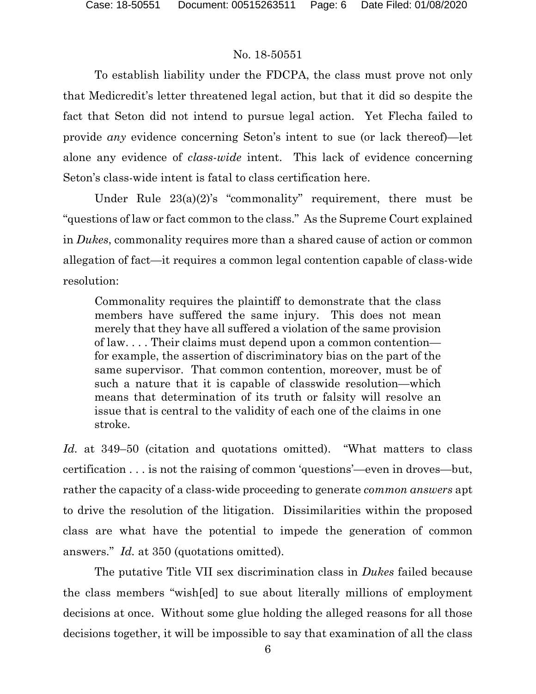To establish liability under the FDCPA, the class must prove not only that Medicredit's letter threatened legal action, but that it did so despite the fact that Seton did not intend to pursue legal action. Yet Flecha failed to provide *any* evidence concerning Seton's intent to sue (or lack thereof)—let alone any evidence of *class-wide* intent. This lack of evidence concerning Seton's class-wide intent is fatal to class certification here.

Under Rule 23(a)(2)'s "commonality" requirement, there must be "questions of law or fact common to the class." As the Supreme Court explained in *Dukes*, commonality requires more than a shared cause of action or common allegation of fact—it requires a common legal contention capable of class-wide resolution:

Commonality requires the plaintiff to demonstrate that the class members have suffered the same injury. This does not mean merely that they have all suffered a violation of the same provision of law. . . . Their claims must depend upon a common contention for example, the assertion of discriminatory bias on the part of the same supervisor. That common contention, moreover, must be of such a nature that it is capable of classwide resolution—which means that determination of its truth or falsity will resolve an issue that is central to the validity of each one of the claims in one stroke.

*Id.* at 349–50 (citation and quotations omitted). "What matters to class certification . . . is not the raising of common 'questions'—even in droves—but, rather the capacity of a class-wide proceeding to generate *common answers* apt to drive the resolution of the litigation. Dissimilarities within the proposed class are what have the potential to impede the generation of common answers." *Id.* at 350 (quotations omitted).

The putative Title VII sex discrimination class in *Dukes* failed because the class members "wish[ed] to sue about literally millions of employment decisions at once. Without some glue holding the alleged reasons for all those decisions together, it will be impossible to say that examination of all the class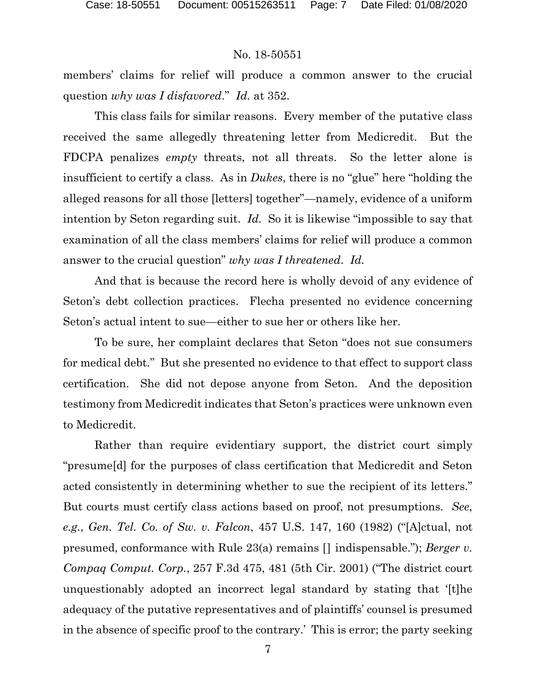members' claims for relief will produce a common answer to the crucial question *why was I disfavored*." *Id.* at 352.

This class fails for similar reasons. Every member of the putative class received the same allegedly threatening letter from Medicredit. But the FDCPA penalizes *empty* threats, not all threats. So the letter alone is insufficient to certify a class. As in *Dukes*, there is no "glue" here "holding the alleged reasons for all those [letters] together"—namely, evidence of a uniform intention by Seton regarding suit. *Id.* So it is likewise "impossible to say that examination of all the class members' claims for relief will produce a common answer to the crucial question" *why was I threatened*. *Id.*

And that is because the record here is wholly devoid of any evidence of Seton's debt collection practices. Flecha presented no evidence concerning Seton's actual intent to sue—either to sue her or others like her.

To be sure, her complaint declares that Seton "does not sue consumers for medical debt." But she presented no evidence to that effect to support class certification. She did not depose anyone from Seton. And the deposition testimony from Medicredit indicates that Seton's practices were unknown even to Medicredit.

Rather than require evidentiary support, the district court simply "presume[d] for the purposes of class certification that Medicredit and Seton acted consistently in determining whether to sue the recipient of its letters." But courts must certify class actions based on proof, not presumptions. *See*, *e.g.*, *Gen. Tel. Co. of Sw. v. Falcon*, 457 U.S. 147, 160 (1982) ("[A]ctual, not presumed, conformance with Rule 23(a) remains [] indispensable."); *Berger v. Compaq Comput. Corp.*, 257 F.3d 475, 481 (5th Cir. 2001) ("The district court unquestionably adopted an incorrect legal standard by stating that '[t]he adequacy of the putative representatives and of plaintiffs' counsel is presumed in the absence of specific proof to the contrary.' This is error; the party seeking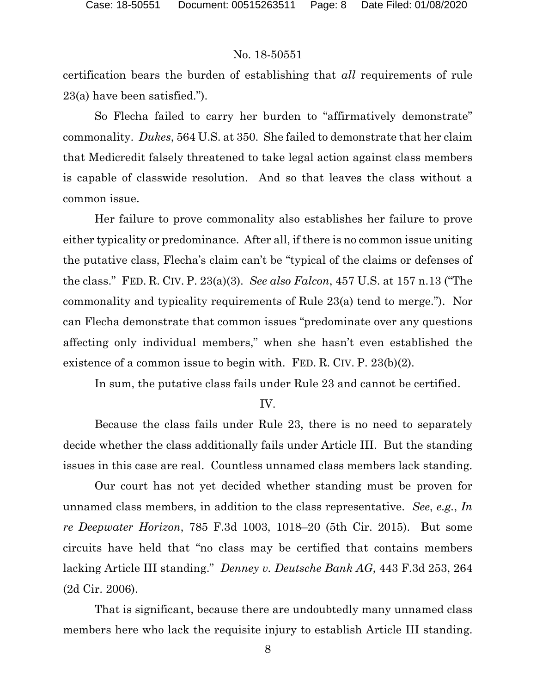certification bears the burden of establishing that *all* requirements of rule 23(a) have been satisfied.").

So Flecha failed to carry her burden to "affirmatively demonstrate" commonality. *Dukes*, 564 U.S. at 350. She failed to demonstrate that her claim that Medicredit falsely threatened to take legal action against class members is capable of classwide resolution. And so that leaves the class without a common issue.

Her failure to prove commonality also establishes her failure to prove either typicality or predominance. After all, if there is no common issue uniting the putative class, Flecha's claim can't be "typical of the claims or defenses of the class." FED. R. CIV. P. 23(a)(3). *See also Falcon*, 457 U.S. at 157 n.13 ("The commonality and typicality requirements of Rule 23(a) tend to merge."). Nor can Flecha demonstrate that common issues "predominate over any questions affecting only individual members," when she hasn't even established the existence of a common issue to begin with. FED. R. CIV. P. 23(b)(2).

In sum, the putative class fails under Rule 23 and cannot be certified.

#### IV.

Because the class fails under Rule 23, there is no need to separately decide whether the class additionally fails under Article III. But the standing issues in this case are real. Countless unnamed class members lack standing.

Our court has not yet decided whether standing must be proven for unnamed class members, in addition to the class representative. *See*, *e.g.*, *In re Deepwater Horizon*, 785 F.3d 1003, 1018–20 (5th Cir. 2015). But some circuits have held that "no class may be certified that contains members lacking Article III standing." *Denney v. Deutsche Bank AG*, 443 F.3d 253, 264 (2d Cir. 2006).

That is significant, because there are undoubtedly many unnamed class members here who lack the requisite injury to establish Article III standing.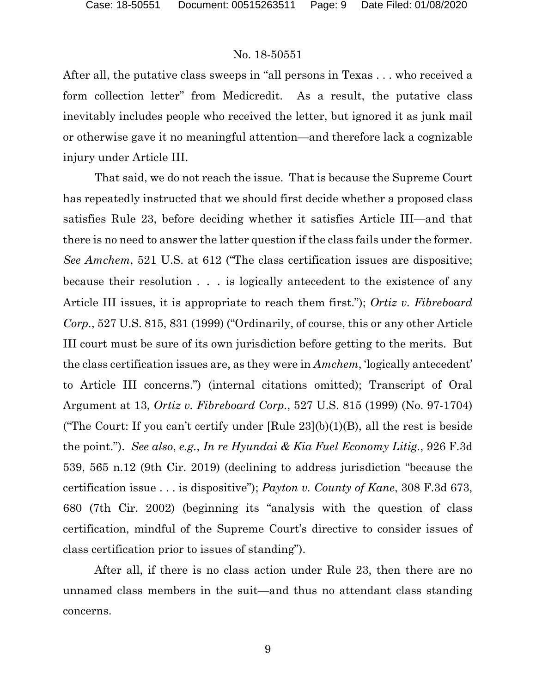After all, the putative class sweeps in "all persons in Texas . . . who received a form collection letter" from Medicredit. As a result, the putative class inevitably includes people who received the letter, but ignored it as junk mail or otherwise gave it no meaningful attention—and therefore lack a cognizable injury under Article III.

That said, we do not reach the issue. That is because the Supreme Court has repeatedly instructed that we should first decide whether a proposed class satisfies Rule 23, before deciding whether it satisfies Article III—and that there is no need to answer the latter question if the class fails under the former. *See Amchem*, 521 U.S. at 612 ("The class certification issues are dispositive; because their resolution . . . is logically antecedent to the existence of any Article III issues, it is appropriate to reach them first."); *Ortiz v. Fibreboard Corp.*, 527 U.S. 815, 831 (1999) ("Ordinarily, of course, this or any other Article III court must be sure of its own jurisdiction before getting to the merits. But the class certification issues are, as they were in *Amchem*, 'logically antecedent' to Article III concerns.") (internal citations omitted); Transcript of Oral Argument at 13, *Ortiz v. Fibreboard Corp.*, 527 U.S. 815 (1999) (No. 97-1704) ("The Court: If you can't certify under  $[Rule 23](b)(1)(B)$ , all the rest is beside the point."). *See also*, *e.g.*, *In re Hyundai & Kia Fuel Economy Litig.*, 926 F.3d 539, 565 n.12 (9th Cir. 2019) (declining to address jurisdiction "because the certification issue . . . is dispositive"); *Payton v. County of Kane*, 308 F.3d 673, 680 (7th Cir. 2002) (beginning its "analysis with the question of class certification, mindful of the Supreme Court's directive to consider issues of class certification prior to issues of standing").

After all, if there is no class action under Rule 23, then there are no unnamed class members in the suit—and thus no attendant class standing concerns.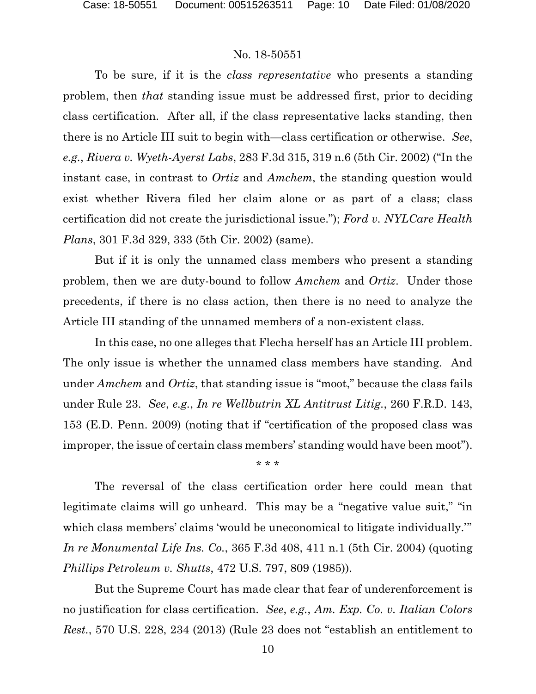To be sure, if it is the *class representative* who presents a standing problem, then *that* standing issue must be addressed first, prior to deciding class certification. After all, if the class representative lacks standing, then there is no Article III suit to begin with—class certification or otherwise. *See*, *e.g.*, *Rivera v. Wyeth-Ayerst Labs*, 283 F.3d 315, 319 n.6 (5th Cir. 2002) ("In the instant case, in contrast to *Ortiz* and *Amchem*, the standing question would exist whether Rivera filed her claim alone or as part of a class; class certification did not create the jurisdictional issue."); *Ford v. NYLCare Health Plans*, 301 F.3d 329, 333 (5th Cir. 2002) (same).

But if it is only the unnamed class members who present a standing problem, then we are duty-bound to follow *Amchem* and *Ortiz*. Under those precedents, if there is no class action, then there is no need to analyze the Article III standing of the unnamed members of a non-existent class.

In this case, no one alleges that Flecha herself has an Article III problem. The only issue is whether the unnamed class members have standing. And under *Amchem* and *Ortiz*, that standing issue is "moot," because the class fails under Rule 23. *See*, *e.g.*, *In re Wellbutrin XL Antitrust Litig.*, 260 F.R.D. 143, 153 (E.D. Penn. 2009) (noting that if "certification of the proposed class was improper, the issue of certain class members' standing would have been moot").

\* \* \*

The reversal of the class certification order here could mean that legitimate claims will go unheard. This may be a "negative value suit," "in which class members' claims 'would be uneconomical to litigate individually.'" *In re Monumental Life Ins. Co.*, 365 F.3d 408, 411 n.1 (5th Cir. 2004) (quoting *Phillips Petroleum v. Shutts*, 472 U.S. 797, 809 (1985)).

But the Supreme Court has made clear that fear of underenforcement is no justification for class certification. *See*, *e.g.*, *Am. Exp. Co. v. Italian Colors Rest.*, 570 U.S. 228, 234 (2013) (Rule 23 does not "establish an entitlement to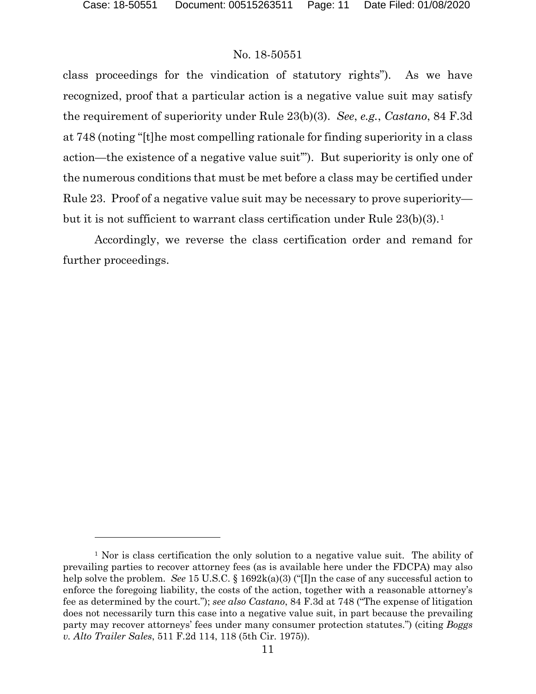$\overline{a}$ 

## No. 18-50551

class proceedings for the vindication of statutory rights"). As we have recognized, proof that a particular action is a negative value suit may satisfy the requirement of superiority under Rule 23(b)(3). *See*, *e.g.*, *Castano*, 84 F.3d at 748 (noting "[t]he most compelling rationale for finding superiority in a class action—the existence of a negative value suit'"). But superiority is only one of the numerous conditions that must be met before a class may be certified under Rule 23. Proof of a negative value suit may be necessary to prove superiority— but it is not sufficient to warrant class certification under Rule 23(b)(3).<sup>[1](#page-10-0)</sup>

Accordingly, we reverse the class certification order and remand for further proceedings.

<span id="page-10-0"></span><sup>1</sup> Nor is class certification the only solution to a negative value suit. The ability of prevailing parties to recover attorney fees (as is available here under the FDCPA) may also help solve the problem. *See* 15 U.S.C. § 1692k(a)(3) ("I]n the case of any successful action to enforce the foregoing liability, the costs of the action, together with a reasonable attorney's fee as determined by the court."); *see also Castano*, 84 F.3d at 748 ("The expense of litigation does not necessarily turn this case into a negative value suit, in part because the prevailing party may recover attorneys' fees under many consumer protection statutes.") (citing *Boggs v. Alto Trailer Sales*, 511 F.2d 114, 118 (5th Cir. 1975)).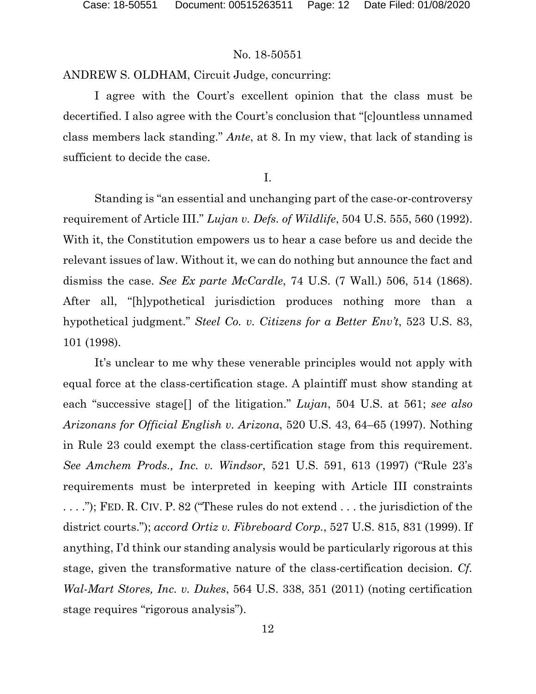ANDREW S. OLDHAM, Circuit Judge, concurring:

I agree with the Court's excellent opinion that the class must be decertified. I also agree with the Court's conclusion that "[c]ountless unnamed class members lack standing." *Ante*, at 8. In my view, that lack of standing is sufficient to decide the case.

I.

Standing is "an essential and unchanging part of the case-or-controversy requirement of Article III." *Lujan v. Defs. of Wildlife*, 504 U.S. 555, 560 (1992). With it, the Constitution empowers us to hear a case before us and decide the relevant issues of law. Without it, we can do nothing but announce the fact and dismiss the case. *See Ex parte McCardle*, 74 U.S. (7 Wall.) 506, 514 (1868). After all, "[h]ypothetical jurisdiction produces nothing more than a hypothetical judgment." *Steel Co. v. Citizens for a Better Env't*, 523 U.S. 83, 101 (1998).

It's unclear to me why these venerable principles would not apply with equal force at the class-certification stage. A plaintiff must show standing at each "successive stage[] of the litigation." *Lujan*, 504 U.S. at 561; *see also Arizonans for Official English v. Arizona*, 520 U.S. 43, 64–65 (1997). Nothing in Rule 23 could exempt the class-certification stage from this requirement. *See Amchem Prods., Inc. v. Windsor*, 521 U.S. 591, 613 (1997) ("Rule 23's requirements must be interpreted in keeping with Article III constraints . . . ."); FED. R. CIV. P. 82 ("These rules do not extend . . . the jurisdiction of the district courts."); *accord Ortiz v. Fibreboard Corp.*, 527 U.S. 815, 831 (1999). If anything, I'd think our standing analysis would be particularly rigorous at this stage, given the transformative nature of the class-certification decision. *Cf. Wal-Mart Stores, Inc. v. Dukes*, 564 U.S. 338, 351 (2011) (noting certification stage requires "rigorous analysis").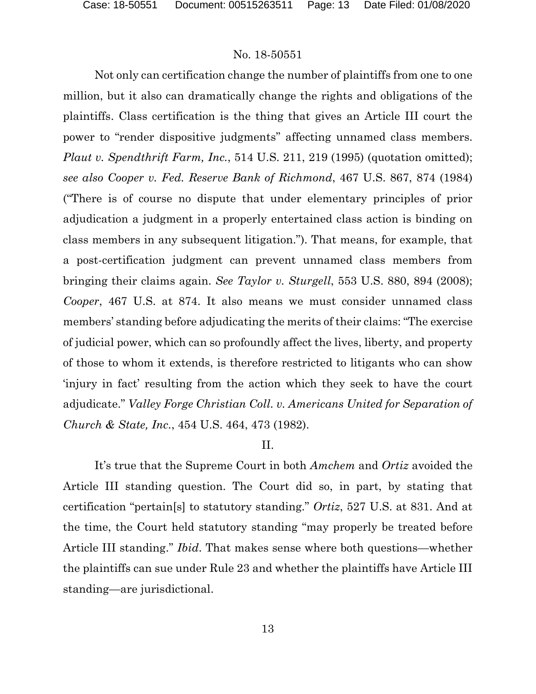Not only can certification change the number of plaintiffs from one to one million, but it also can dramatically change the rights and obligations of the plaintiffs. Class certification is the thing that gives an Article III court the power to "render dispositive judgments" affecting unnamed class members. *Plaut v. Spendthrift Farm, Inc.*, 514 U.S. 211, 219 (1995) (quotation omitted); *see also Cooper v. Fed. Reserve Bank of Richmond*, 467 U.S. 867, 874 (1984) ("There is of course no dispute that under elementary principles of prior adjudication a judgment in a properly entertained class action is binding on class members in any subsequent litigation."). That means, for example, that a post-certification judgment can prevent unnamed class members from bringing their claims again. *See Taylor v. Sturgell*, 553 U.S. 880, 894 (2008); *Cooper*, 467 U.S. at 874. It also means we must consider unnamed class members' standing before adjudicating the merits of their claims: "The exercise of judicial power, which can so profoundly affect the lives, liberty, and property of those to whom it extends, is therefore restricted to litigants who can show 'injury in fact' resulting from the action which they seek to have the court adjudicate." *Valley Forge Christian Coll. v. Americans United for Separation of Church & State, Inc.*, 454 U.S. 464, 473 (1982).

## II.

It's true that the Supreme Court in both *Amchem* and *Ortiz* avoided the Article III standing question. The Court did so, in part, by stating that certification "pertain[s] to statutory standing." *Ortiz*, 527 U.S. at 831. And at the time, the Court held statutory standing "may properly be treated before Article III standing." *Ibid*. That makes sense where both questions—whether the plaintiffs can sue under Rule 23 and whether the plaintiffs have Article III standing—are jurisdictional.